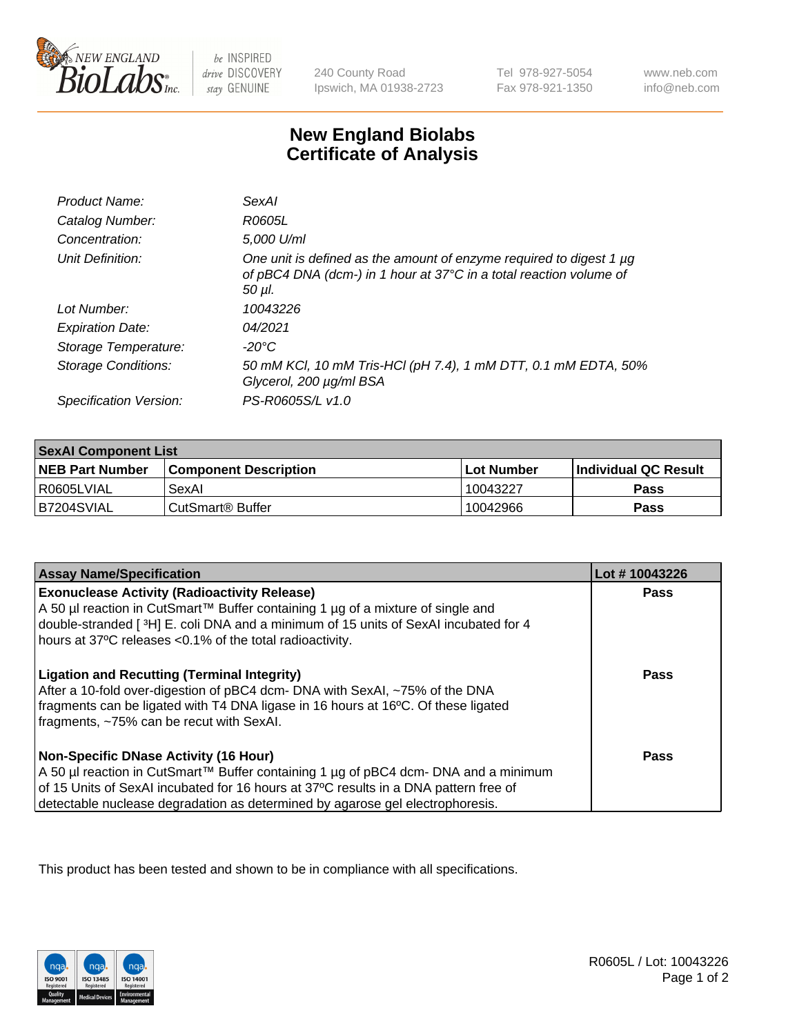

 $be$  INSPIRED drive DISCOVERY stay GENUINE

240 County Road Ipswich, MA 01938-2723 Tel 978-927-5054 Fax 978-921-1350 www.neb.com info@neb.com

## **New England Biolabs Certificate of Analysis**

| Product Name:              | SexAI                                                                                                                                                   |
|----------------------------|---------------------------------------------------------------------------------------------------------------------------------------------------------|
| Catalog Number:            | R0605L                                                                                                                                                  |
| Concentration:             | 5,000 U/ml                                                                                                                                              |
| Unit Definition:           | One unit is defined as the amount of enzyme required to digest 1 µg<br>of pBC4 DNA (dcm-) in 1 hour at 37°C in a total reaction volume of<br>$50 \mu$ . |
| Lot Number:                | 10043226                                                                                                                                                |
| <b>Expiration Date:</b>    | 04/2021                                                                                                                                                 |
| Storage Temperature:       | -20°C                                                                                                                                                   |
| <b>Storage Conditions:</b> | 50 mM KCl, 10 mM Tris-HCl (pH 7.4), 1 mM DTT, 0.1 mM EDTA, 50%<br>Glycerol, 200 µg/ml BSA                                                               |
| Specification Version:     | PS-R0605S/L v1.0                                                                                                                                        |

| <b>SexAl Component List</b> |                              |              |                             |  |
|-----------------------------|------------------------------|--------------|-----------------------------|--|
| <b>NEB Part Number</b>      | <b>Component Description</b> | l Lot Number | <b>Individual QC Result</b> |  |
| I R0605LVIAL                | SexAl                        | 10043227     | <b>Pass</b>                 |  |
| IB7204SVIAL                 | l CutSmart® Buffer           | 10042966     | <b>Pass</b>                 |  |

| <b>Assay Name/Specification</b>                                                                                                                                                                                                                                                                         | Lot #10043226 |
|---------------------------------------------------------------------------------------------------------------------------------------------------------------------------------------------------------------------------------------------------------------------------------------------------------|---------------|
| <b>Exonuclease Activity (Radioactivity Release)</b><br>A 50 µl reaction in CutSmart™ Buffer containing 1 µg of a mixture of single and<br>double-stranded [3H] E. coli DNA and a minimum of 15 units of SexAI incubated for 4<br>hours at 37°C releases <0.1% of the total radioactivity.               | <b>Pass</b>   |
| <b>Ligation and Recutting (Terminal Integrity)</b><br>After a 10-fold over-digestion of pBC4 dcm- DNA with SexAI, ~75% of the DNA<br>fragments can be ligated with T4 DNA ligase in 16 hours at 16°C. Of these ligated<br>fragments, ~75% can be recut with SexAI.                                      | Pass          |
| Non-Specific DNase Activity (16 Hour)<br>  A 50 µl reaction in CutSmart™ Buffer containing 1 µg of pBC4 dcm- DNA and a minimum<br>of 15 Units of SexAI incubated for 16 hours at 37°C results in a DNA pattern free of<br>detectable nuclease degradation as determined by agarose gel electrophoresis. | Pass          |

This product has been tested and shown to be in compliance with all specifications.